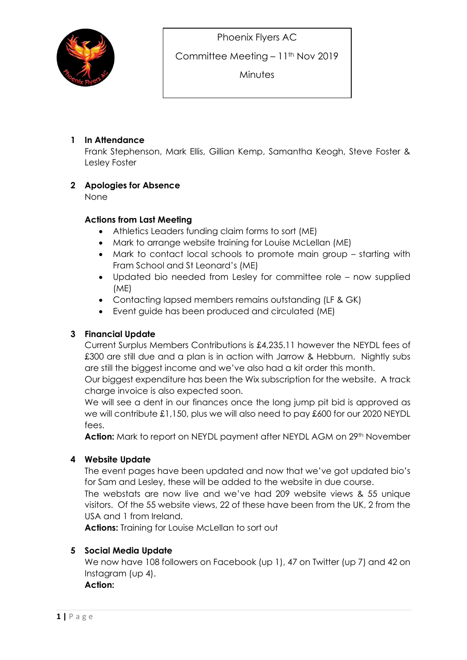

Committee Meeting – 11th Nov 2019

**Minutes** 

### 1 In Attendance

Frank Stephenson, Mark Ellis, Gillian Kemp, Samantha Keogh, Steve Foster & Lesley Foster

### 2 Apologies for Absence

None

### Actions from Last Meeting

- Athletics Leaders funding claim forms to sort (ME)
- Mark to arrange website training for Louise McLellan (ME)
- Mark to contact local schools to promote main group starting with Fram School and St Leonard's (ME)
- Updated bio needed from Lesley for committee role now supplied (ME)
- Contacting lapsed members remains outstanding (LF & GK)
- Event guide has been produced and circulated (ME)

# 3 Financial Update

Current Surplus Members Contributions is £4,235.11 however the NEYDL fees of £300 are still due and a plan is in action with Jarrow & Hebburn. Nightly subs are still the biggest income and we've also had a kit order this month.

Our biggest expenditure has been the Wix subscription for the website. A track charge invoice is also expected soon.

We will see a dent in our finances once the long jump pit bid is approved as we will contribute £1,150, plus we will also need to pay £600 for our 2020 NEYDL fees.

Action: Mark to report on NEYDL payment after NEYDL AGM on 29<sup>th</sup> November

# 4 Website Update

The event pages have been updated and now that we've got updated bio's for Sam and Lesley, these will be added to the website in due course.

The webstats are now live and we've had 209 website views & 55 unique visitors. Of the 55 website views, 22 of these have been from the UK, 2 from the USA and 1 from Ireland.

Actions: Training for Louise McLellan to sort out

# 5 Social Media Update

We now have 108 followers on Facebook (up 1), 47 on Twitter (up 7) and 42 on Instagram (up 4).

Action: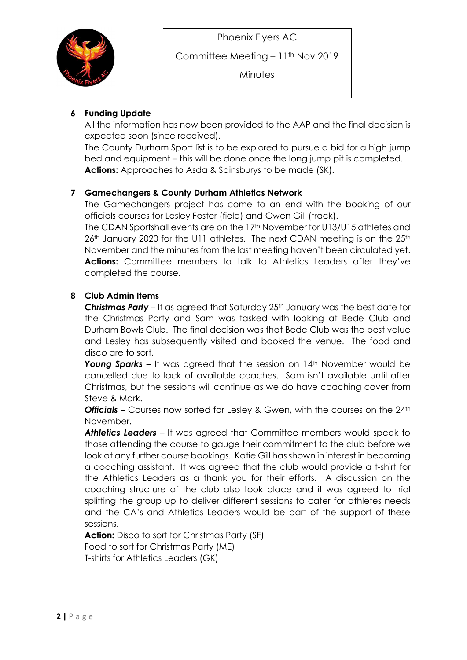

Committee Meeting – 11th Nov 2019

**Minutes** 

## 6 Funding Update

All the information has now been provided to the AAP and the final decision is expected soon (since received).

The County Durham Sport list is to be explored to pursue a bid for a high jump bed and equipment – this will be done once the long jump pit is completed. Actions: Approaches to Asda & Sainsburys to be made (SK).

## 7 Gamechangers & County Durham Athletics Network

The Gamechangers project has come to an end with the booking of our officials courses for Lesley Foster (field) and Gwen Gill (track).

The CDAN Sportshall events are on the 17<sup>th</sup> November for U13/U15 athletes and 26<sup>th</sup> January 2020 for the U11 athletes. The next CDAN meeting is on the 25<sup>th</sup> November and the minutes from the last meeting haven't been circulated yet. Actions: Committee members to talk to Athletics Leaders after they've completed the course.

### 8 Club Admin Items

**Christmas Party** – It as agreed that Saturday  $25<sup>th</sup>$  January was the best date for the Christmas Party and Sam was tasked with looking at Bede Club and Durham Bowls Club. The final decision was that Bede Club was the best value and Lesley has subsequently visited and booked the venue. The food and disco are to sort.

Young Sparks - It was agreed that the session on 14th November would be cancelled due to lack of available coaches. Sam isn't available until after Christmas, but the sessions will continue as we do have coaching cover from Steve & Mark.

**Officials** – Courses now sorted for Lesley & Gwen, with the courses on the 24<sup>th</sup> November.

Athletics Leaders – It was agreed that Committee members would speak to those attending the course to gauge their commitment to the club before we look at any further course bookings. Katie Gill has shown in interest in becoming a coaching assistant. It was agreed that the club would provide a t-shirt for the Athletics Leaders as a thank you for their efforts. A discussion on the coaching structure of the club also took place and it was agreed to trial splitting the group up to deliver different sessions to cater for athletes needs and the CA's and Athletics Leaders would be part of the support of these sessions.

Action: Disco to sort for Christmas Party (SF) Food to sort for Christmas Party (ME) T-shirts for Athletics Leaders (GK)